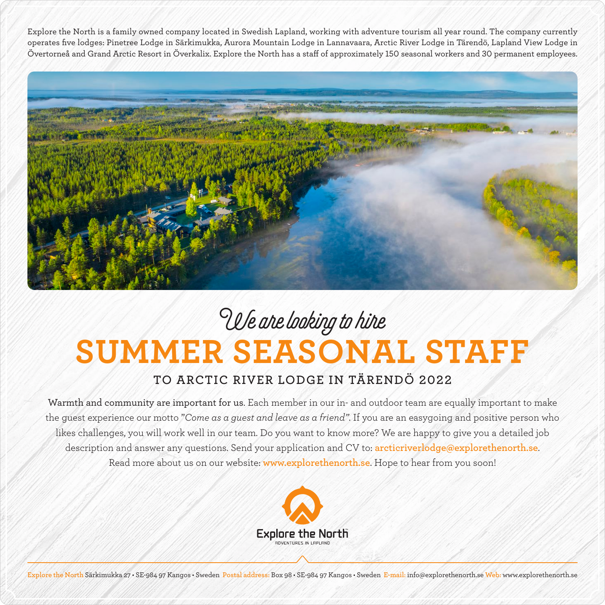Explore the North is a family owned company located in Swedish Lapland, working with adventure tourism all year round. The company currently operates five lodges: Pinetree Lodge in Särkimukka, Aurora Mountain Lodge in Lannavaara, Arctic River Lodge in Tärendö, Lapland View Lodge in Övertorneå and Grand Arctic Resort in Överkalix. Explore the North has a staff of approximately 150 seasonal workers and 30 permanent employees.



## **SUMMER SEASONAL STAFF** We are looking to hire

## **TO ARCTIC RIVER LODGE IN TÄRENDÖ 2022**

Warmth and community are important for us. Each member in our in- and outdoor team are equally important to make the guest experience our motto "*Come as a guest and leave as a friend"*. If you are an easygoing and positive person who likes challenges, you will work well in our team. Do you want to know more? We are happy to give you a detailed job description and answer any questions. Send your application and CV to: **arcticriverlodge@explorethenorth.se**. Read more about us on our website: **www.explorethenorth.se**. Hope to hear from you soon!